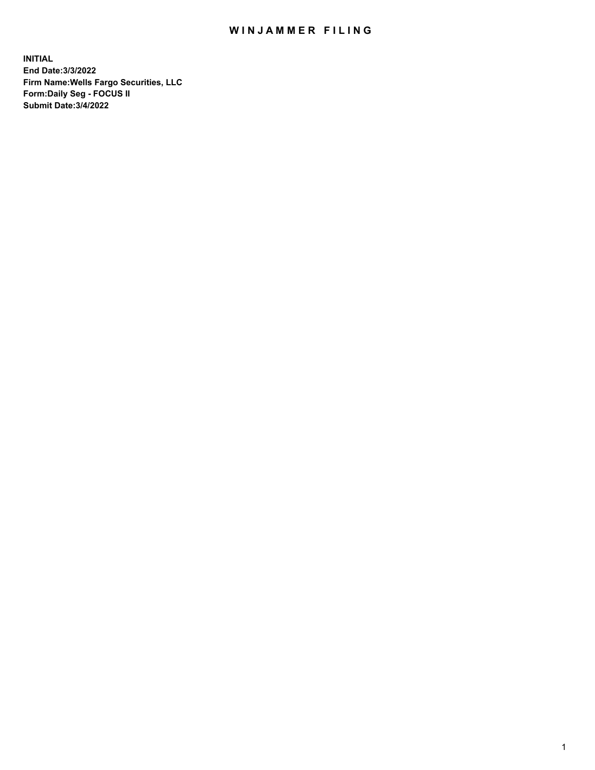## WIN JAMMER FILING

**INITIAL End Date:3/3/2022 Firm Name:Wells Fargo Securities, LLC Form:Daily Seg - FOCUS II Submit Date:3/4/2022**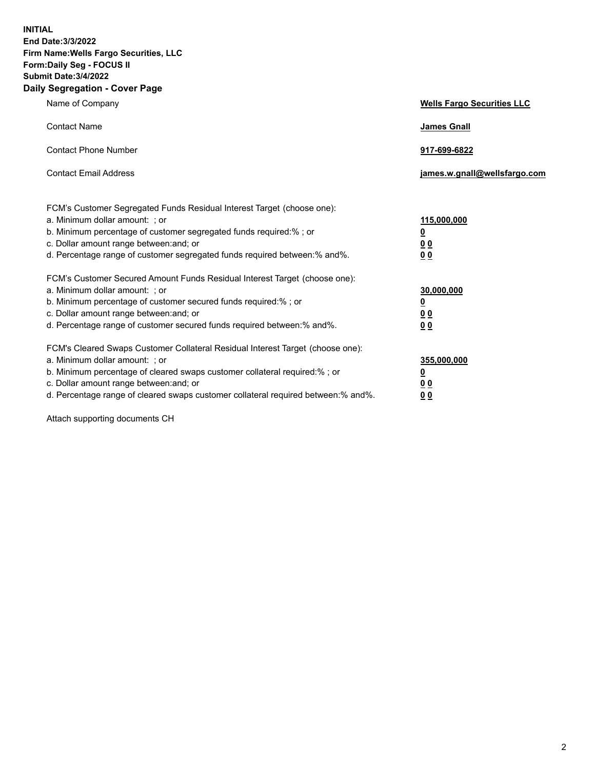**INITIAL End Date:3/3/2022 Firm Name:Wells Fargo Securities, LLC Form:Daily Seg - FOCUS II Submit Date:3/4/2022 Daily Segregation - Cover Page**

| Name of Company                                                                   | <b>Wells Fargo Securities LLC</b> |
|-----------------------------------------------------------------------------------|-----------------------------------|
| <b>Contact Name</b>                                                               | <b>James Gnall</b>                |
|                                                                                   |                                   |
| <b>Contact Phone Number</b>                                                       | 917-699-6822                      |
|                                                                                   |                                   |
| <b>Contact Email Address</b>                                                      | james.w.gnall@wellsfargo.com      |
|                                                                                   |                                   |
| FCM's Customer Segregated Funds Residual Interest Target (choose one):            |                                   |
| a. Minimum dollar amount: ; or                                                    | 115,000,000                       |
| b. Minimum percentage of customer segregated funds required:% ; or                | <u>0</u>                          |
| c. Dollar amount range between: and; or                                           | 00                                |
| d. Percentage range of customer segregated funds required between:% and%.         | 0 <sub>0</sub>                    |
| FCM's Customer Secured Amount Funds Residual Interest Target (choose one):        |                                   |
| a. Minimum dollar amount: ; or                                                    | 30,000,000                        |
| b. Minimum percentage of customer secured funds required:%; or                    | <u>0</u>                          |
| c. Dollar amount range between: and; or                                           | 00                                |
| d. Percentage range of customer secured funds required between: % and %.          | 00                                |
|                                                                                   |                                   |
| FCM's Cleared Swaps Customer Collateral Residual Interest Target (choose one):    |                                   |
| a. Minimum dollar amount: ; or                                                    | 355,000,000                       |
| b. Minimum percentage of cleared swaps customer collateral required:% ; or        | <u>0</u>                          |
| c. Dollar amount range between: and; or                                           | <u>00</u>                         |
| d. Percentage range of cleared swaps customer collateral required between:% and%. | 00                                |

Attach supporting documents CH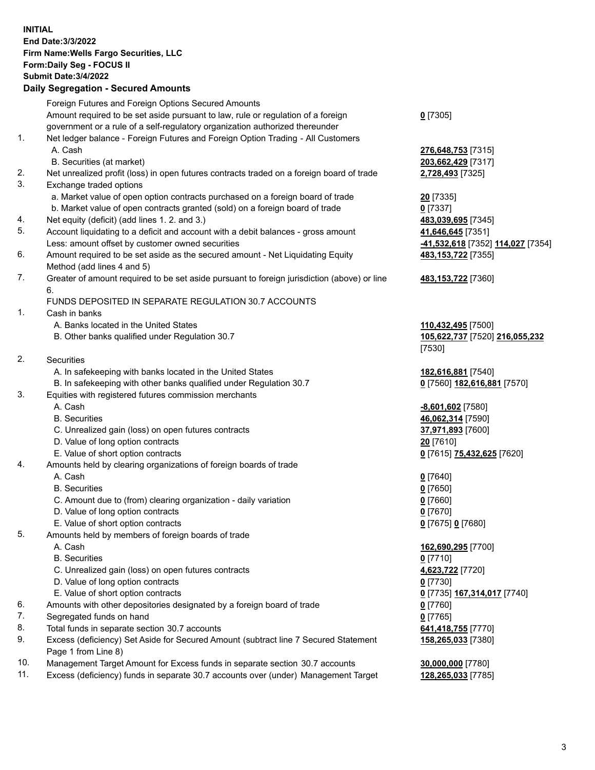**INITIAL End Date:3/3/2022 Firm Name:Wells Fargo Securities, LLC Form:Daily Seg - FOCUS II Submit Date:3/4/2022 Daily Segregation - Secured Amounts** Foreign Futures and Foreign Options Secured Amounts Amount required to be set aside pursuant to law, rule or regulation of a foreign government or a rule of a self-regulatory organization authorized thereunder 1. Net ledger balance - Foreign Futures and Foreign Option Trading - All Customers A. Cash **276,648,753** [7315] B. Securities (at market) **203,662,429** [7317]

- 2. Net unrealized profit (loss) in open futures contracts traded on a foreign board of trade **2,728,493** [7325]
- 3. Exchange traded options
	- a. Market value of open option contracts purchased on a foreign board of trade **20** [7335]
	- b. Market value of open contracts granted (sold) on a foreign board of trade **0** [7337]
- 4. Net equity (deficit) (add lines 1. 2. and 3.) **483,039,695** [7345]
- 5. Account liquidating to a deficit and account with a debit balances gross amount **41,646,645** [7351] Less: amount offset by customer owned securities **-41,532,618** [7352] **114,027** [7354]
- 6. Amount required to be set aside as the secured amount Net Liquidating Equity Method (add lines 4 and 5)
- 7. Greater of amount required to be set aside pursuant to foreign jurisdiction (above) or line 6.

## FUNDS DEPOSITED IN SEPARATE REGULATION 30.7 ACCOUNTS

- 1. Cash in banks
	- A. Banks located in the United States **110,432,495** [7500]
	- B. Other banks qualified under Regulation 30.7 **105,622,737** [7520] **216,055,232**
- 2. Securities
	- A. In safekeeping with banks located in the United States **182,616,881** [7540]
- B. In safekeeping with other banks qualified under Regulation 30.7 **0** [7560] **182,616,881** [7570]
- 3. Equities with registered futures commission merchants
	-
	-
	- C. Unrealized gain (loss) on open futures contracts **37,971,893** [7600]
	- D. Value of long option contracts **20** [7610]
	- E. Value of short option contracts **0** [7615] **75,432,625** [7620]
- 4. Amounts held by clearing organizations of foreign boards of trade
	- A. Cash **0** [7640]
	- B. Securities **0** [7650]
	- C. Amount due to (from) clearing organization daily variation **0** [7660]
	- D. Value of long option contracts **0** [7670]
	- E. Value of short option contracts **0** [7675] **0** [7680]
- 5. Amounts held by members of foreign boards of trade
	-
	- B. Securities **0** [7710]
	- C. Unrealized gain (loss) on open futures contracts **4,623,722** [7720]
	- D. Value of long option contracts **0** [7730]
	- E. Value of short option contracts **0** [7735] **167,314,017** [7740]
- 6. Amounts with other depositories designated by a foreign board of trade **0** [7760]
- 7. Segregated funds on hand **0** [7765]
- 8. Total funds in separate section 30.7 accounts **641,418,755** [7770]
- 9. Excess (deficiency) Set Aside for Secured Amount (subtract line 7 Secured Statement Page 1 from Line 8)
- 10. Management Target Amount for Excess funds in separate section 30.7 accounts **30,000,000** [7780]
- 11. Excess (deficiency) funds in separate 30.7 accounts over (under) Management Target **128,265,033** [7785]

**0** [7305]

**483,153,722** [7355]

## **483,153,722** [7360]

[7530]

 A. Cash **-8,601,602** [7580] B. Securities **46,062,314** [7590]

 A. Cash **162,690,295** [7700] **158,265,033** [7380]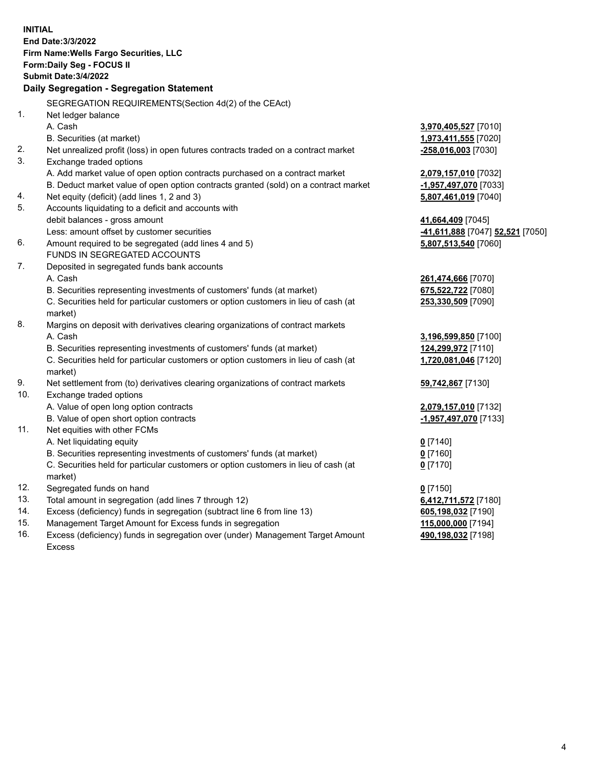|     | <b>INITIAL</b><br>End Date: 3/3/2022<br>Firm Name: Wells Fargo Securities, LLC<br>Form: Daily Seg - FOCUS II<br><b>Submit Date: 3/4/2022</b><br>Daily Segregation - Segregation Statement |                                  |
|-----|-------------------------------------------------------------------------------------------------------------------------------------------------------------------------------------------|----------------------------------|
|     |                                                                                                                                                                                           |                                  |
| 1.  | SEGREGATION REQUIREMENTS(Section 4d(2) of the CEAct)<br>Net ledger balance                                                                                                                |                                  |
|     | A. Cash                                                                                                                                                                                   | 3,970,405,527 [7010]             |
|     | B. Securities (at market)                                                                                                                                                                 | 1,973,411,555 [7020]             |
| 2.  | Net unrealized profit (loss) in open futures contracts traded on a contract market                                                                                                        | -258,016,003 [7030]              |
| 3.  | Exchange traded options                                                                                                                                                                   |                                  |
|     | A. Add market value of open option contracts purchased on a contract market                                                                                                               | 2,079,157,010 [7032]             |
|     | B. Deduct market value of open option contracts granted (sold) on a contract market                                                                                                       | -1,957,497,070 [7033]            |
| 4.  | Net equity (deficit) (add lines 1, 2 and 3)                                                                                                                                               | 5,807,461,019 [7040]             |
| 5.  | Accounts liquidating to a deficit and accounts with                                                                                                                                       |                                  |
|     | debit balances - gross amount                                                                                                                                                             | 41,664,409 [7045]                |
|     | Less: amount offset by customer securities                                                                                                                                                | -41,611,888 [7047] 52,521 [7050] |
| 6.  | Amount required to be segregated (add lines 4 and 5)                                                                                                                                      | 5,807,513,540 [7060]             |
|     | FUNDS IN SEGREGATED ACCOUNTS                                                                                                                                                              |                                  |
| 7.  | Deposited in segregated funds bank accounts                                                                                                                                               |                                  |
|     | A. Cash                                                                                                                                                                                   | 261,474,666 [7070]               |
|     | B. Securities representing investments of customers' funds (at market)                                                                                                                    | 675,522,722 [7080]               |
|     | C. Securities held for particular customers or option customers in lieu of cash (at                                                                                                       | 253,330,509 [7090]               |
|     | market)                                                                                                                                                                                   |                                  |
| 8.  | Margins on deposit with derivatives clearing organizations of contract markets                                                                                                            |                                  |
|     | A. Cash                                                                                                                                                                                   | 3,196,599,850 [7100]             |
|     | B. Securities representing investments of customers' funds (at market)                                                                                                                    | 124,299,972 [7110]               |
|     | C. Securities held for particular customers or option customers in lieu of cash (at                                                                                                       | 1,720,081,046 [7120]             |
|     | market)                                                                                                                                                                                   |                                  |
| 9.  | Net settlement from (to) derivatives clearing organizations of contract markets                                                                                                           | 59,742,867 [7130]                |
| 10. | Exchange traded options                                                                                                                                                                   |                                  |
|     | A. Value of open long option contracts                                                                                                                                                    | 2,079,157,010 [7132]             |
|     | B. Value of open short option contracts                                                                                                                                                   | -1,957,497,070 [7133]            |
| 11. | Net equities with other FCMs                                                                                                                                                              |                                  |
|     | A. Net liquidating equity                                                                                                                                                                 | $0$ [7140]                       |
|     | B. Securities representing investments of customers' funds (at market)                                                                                                                    | $0$ [7160]                       |
|     | C. Securities held for particular customers or option customers in lieu of cash (at                                                                                                       | $0$ [7170]                       |
|     | market)                                                                                                                                                                                   |                                  |
| 12. | Segregated funds on hand                                                                                                                                                                  | $0$ [7150]                       |
| 13. | Total amount in segregation (add lines 7 through 12)                                                                                                                                      | 6,412,711,572 [7180]             |
| 14. | Excess (deficiency) funds in segregation (subtract line 6 from line 13)                                                                                                                   | 605,198,032 [7190]               |
| 15. | Management Target Amount for Excess funds in segregation                                                                                                                                  | 115,000,000 [7194]               |
| 16. | Excess (deficiency) funds in segregation over (under) Management Target Amount                                                                                                            | 490,198,032 [7198]               |
|     | Excess                                                                                                                                                                                    |                                  |